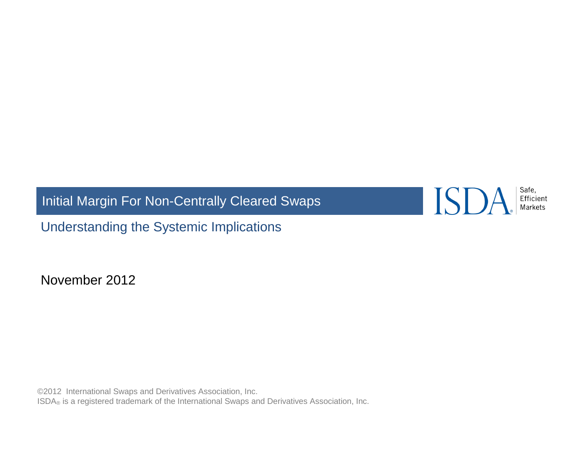Initial Margin For Non-Centrally Cleared Swaps

ISDA.

Safe,<br>Efficient<br>Markets

Understanding the Systemic Implications

November 2012

©2012 International Swaps and Derivatives Association, Inc. ISDA<sup>®</sup> is a registered trademark of the International Swaps and Derivatives Association, Inc.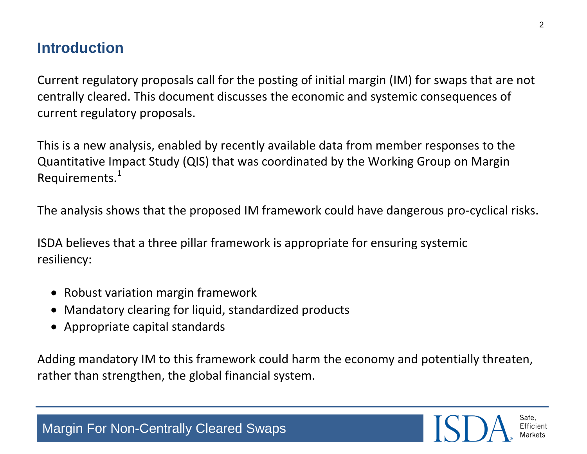### **Introduction**

Current regulatory proposals call for the posting of initial margin (IM) for swaps that are not centrally cleared. This document discusses the economic and systemic consequences of current regulatory proposals.

This is a new analysis, enabled by recently available data from member responses to the Quantitative Impact Study (QIS) that was coordinated by the Working Group on Margin Requirements. $1$ 

The analysis shows that the proposed IM framework could have dangerous pro-cyclical risks.

ISDA believes that a three pillar framework is appropriate for ensuring systemic resiliency:

- Robust variation margin framework
- Mandatory clearing for liquid, standardized products
- Appropriate capital standards

Adding mandatory IM to this framework could harm the economy and potentially threaten, rather than strengthen, the global financial system.

Safe Efficient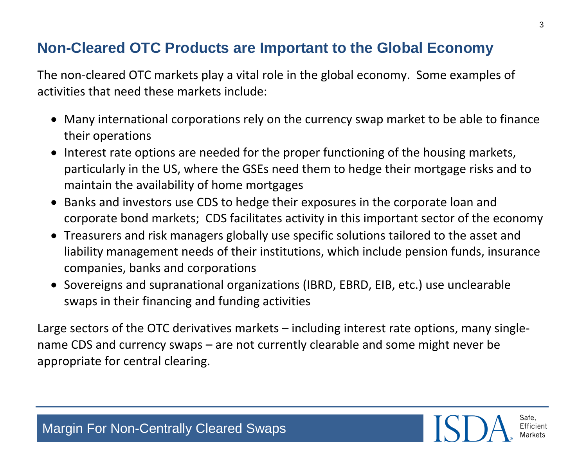#### **Non-Cleared OTC Products are Important to the Global Economy**

The non-cleared OTC markets play a vital role in the global economy. Some examples of activities that need these markets include:

- Many international corporations rely on the currency swap market to be able to finance their operations
- Interest rate options are needed for the proper functioning of the housing markets, particularly in the US, where the GSEs need them to hedge their mortgage risks and to maintain the availability of home mortgages
- Banks and investors use CDS to hedge their exposures in the corporate loan and corporate bond markets; CDS facilitates activity in this important sector of the economy
- Treasurers and risk managers globally use specific solutions tailored to the asset and liability management needs of their institutions, which include pension funds, insurance companies, banks and corporations
- Sovereigns and supranational organizations (IBRD, EBRD, EIB, etc.) use unclearable swaps in their financing and funding activities

Large sectors of the OTC derivatives markets – including interest rate options, many singlename CDS and currency swaps – are not currently clearable and some might never be appropriate for central clearing.

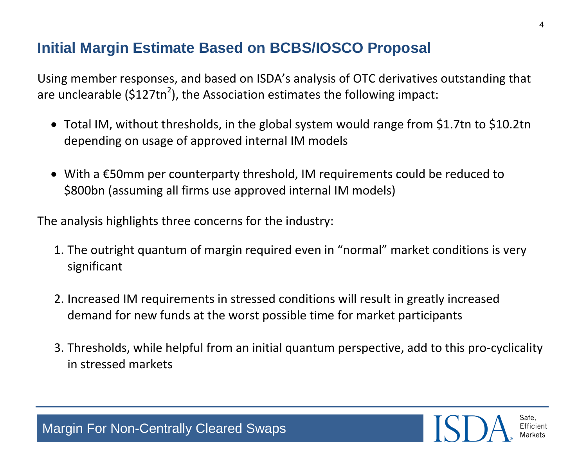## **Initial Margin Estimate Based on BCBS/IOSCO Proposal**

Using member responses, and based on ISDA's analysis of OTC derivatives outstanding that are unclearable (\$127tn<sup>2</sup>), the Association estimates the following impact:

- Total IM, without thresholds, in the global system would range from \$1.7tn to \$10.2tn depending on usage of approved internal IM models
- With a €50mm per counterparty threshold, IM requirements could be reduced to \$800bn (assuming all firms use approved internal IM models)

The analysis highlights three concerns for the industry:

- 1. The outright quantum of margin required even in "normal" market conditions is very significant
- 2. Increased IM requirements in stressed conditions will result in greatly increased demand for new funds at the worst possible time for market participants
- 3. Thresholds, while helpful from an initial quantum perspective, add to this pro-cyclicality in stressed markets

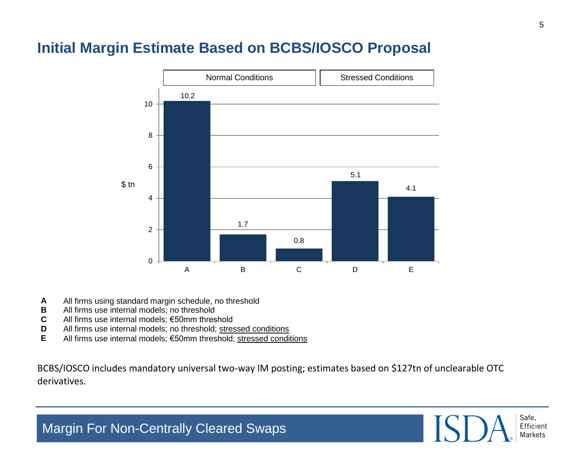#### **Initial Margin Estimate Based on BCBS/IOSCO Proposal**



- **A** All firms using standard margin schedule, no threshold
- **B** All firms use internal models; no threshold
- **C** All firms use internal models; €50mm threshold
- **D** All firms use internal models; no threshold; stressed conditions
- **E** All firms use internal models; €50mm threshold; stressed conditions

BCBS/IOSCO includes mandatory universal two-way IM posting; estimates based on \$127tn of unclearable OTC derivatives.

> Safe, Efficient **Markets**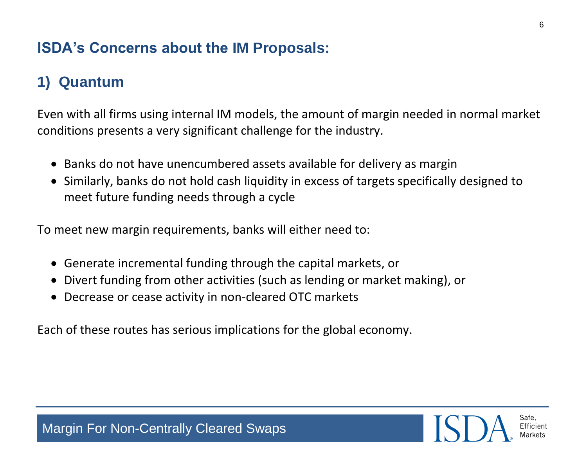### **ISDA's Concerns about the IM Proposals:**

# **1) Quantum**

Even with all firms using internal IM models, the amount of margin needed in normal market conditions presents a very significant challenge for the industry.

- Banks do not have unencumbered assets available for delivery as margin
- Similarly, banks do not hold cash liquidity in excess of targets specifically designed to meet future funding needs through a cycle

To meet new margin requirements, banks will either need to:

- Generate incremental funding through the capital markets, or
- Divert funding from other activities (such as lending or market making), or
- Decrease or cease activity in non-cleared OTC markets

Each of these routes has serious implications for the global economy.

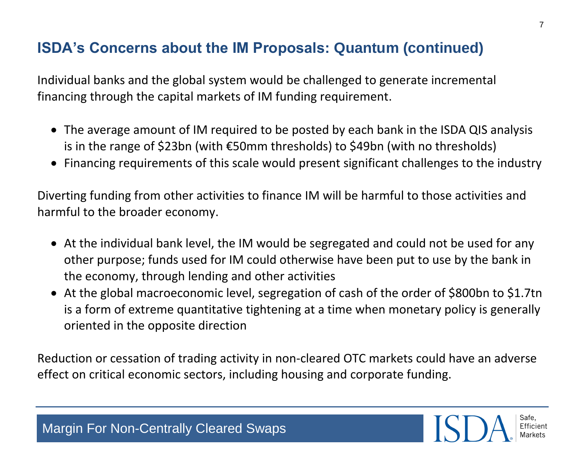### **ISDA's Concerns about the IM Proposals: Quantum (continued)**

Individual banks and the global system would be challenged to generate incremental financing through the capital markets of IM funding requirement.

- The average amount of IM required to be posted by each bank in the ISDA QIS analysis is in the range of \$23bn (with €50mm thresholds) to \$49bn (with no thresholds)
- Financing requirements of this scale would present significant challenges to the industry

Diverting funding from other activities to finance IM will be harmful to those activities and harmful to the broader economy.

- At the individual bank level, the IM would be segregated and could not be used for any other purpose; funds used for IM could otherwise have been put to use by the bank in the economy, through lending and other activities
- At the global macroeconomic level, segregation of cash of the order of \$800bn to \$1.7tn is a form of extreme quantitative tightening at a time when monetary policy is generally oriented in the opposite direction

Reduction or cessation of trading activity in non-cleared OTC markets could have an adverse effect on critical economic sectors, including housing and corporate funding.

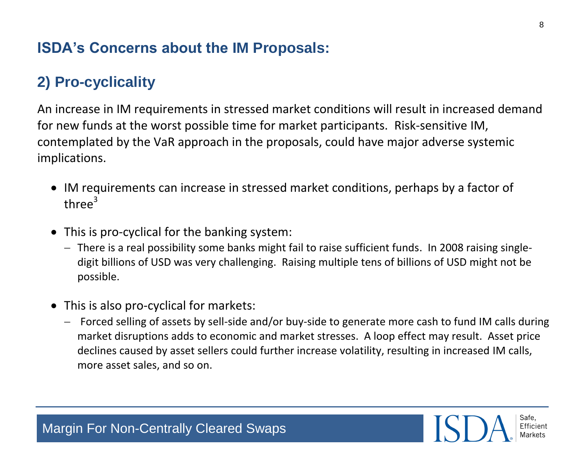#### **ISDA's Concerns about the IM Proposals:**

## **2) Pro-cyclicality**

An increase in IM requirements in stressed market conditions will result in increased demand for new funds at the worst possible time for market participants. Risk-sensitive IM, contemplated by the VaR approach in the proposals, could have major adverse systemic implications.

- IM requirements can increase in stressed market conditions, perhaps by a factor of three $3$
- This is pro-cyclical for the banking system:
	- There is a real possibility some banks might fail to raise sufficient funds. In 2008 raising singledigit billions of USD was very challenging. Raising multiple tens of billions of USD might not be possible.
- This is also pro-cyclical for markets:
	- Forced selling of assets by sell-side and/or buy-side to generate more cash to fund IM calls during market disruptions adds to economic and market stresses. A loop effect may result. Asset price declines caused by asset sellers could further increase volatility, resulting in increased IM calls, more asset sales, and so on.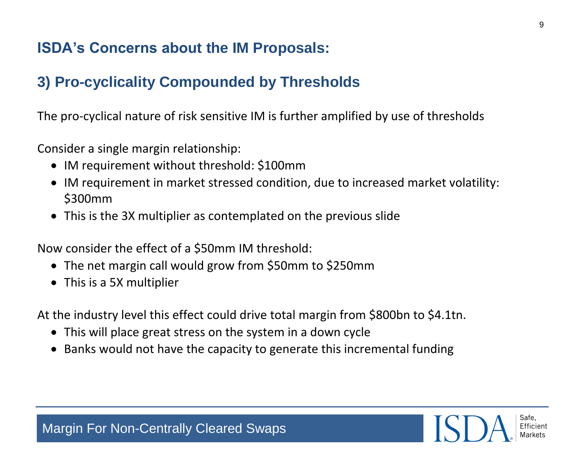#### **ISDA's Concerns about the IM Proposals:**

## **3) Pro-cyclicality Compounded by Thresholds**

The pro-cyclical nature of risk sensitive IM is further amplified by use of thresholds

Consider a single margin relationship:

- IM requirement without threshold: \$100mm
- IM requirement in market stressed condition, due to increased market volatility: \$300mm
- This is the 3X multiplier as contemplated on the previous slide

Now consider the effect of a \$50mm IM threshold:

- The net margin call would grow from \$50mm to \$250mm
- This is a 5X multiplier

At the industry level this effect could drive total margin from \$800bn to \$4.1tn.

- This will place great stress on the system in a down cycle
- Banks would not have the capacity to generate this incremental funding

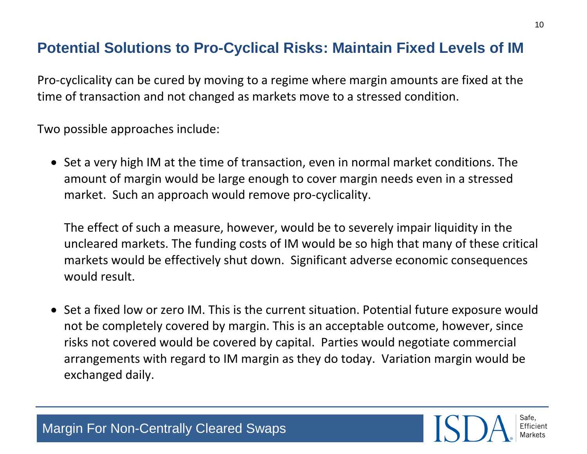#### **Potential Solutions to Pro-Cyclical Risks: Maintain Fixed Levels of IM**

Pro-cyclicality can be cured by moving to a regime where margin amounts are fixed at the time of transaction and not changed as markets move to a stressed condition.

Two possible approaches include:

• Set a very high IM at the time of transaction, even in normal market conditions. The amount of margin would be large enough to cover margin needs even in a stressed market. Such an approach would remove pro-cyclicality.

The effect of such a measure, however, would be to severely impair liquidity in the uncleared markets. The funding costs of IM would be so high that many of these critical markets would be effectively shut down. Significant adverse economic consequences would result.

• Set a fixed low or zero IM. This is the current situation. Potential future exposure would not be completely covered by margin. This is an acceptable outcome, however, since risks not covered would be covered by capital. Parties would negotiate commercial arrangements with regard to IM margin as they do today. Variation margin would be exchanged daily.



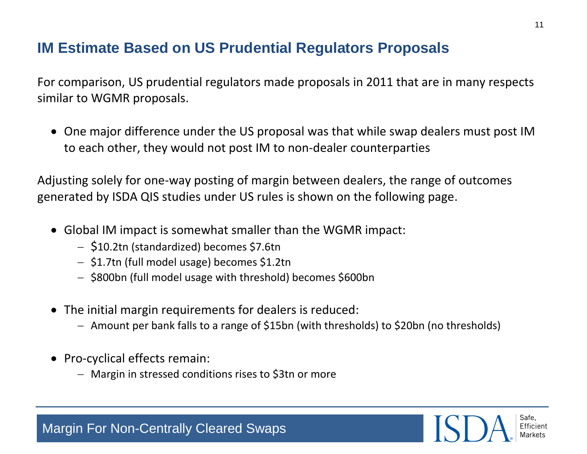#### **IM Estimate Based on US Prudential Regulators Proposals**

For comparison, US prudential regulators made proposals in 2011 that are in many respects similar to WGMR proposals.

 One major difference under the US proposal was that while swap dealers must post IM to each other, they would not post IM to non-dealer counterparties

Adjusting solely for one-way posting of margin between dealers, the range of outcomes generated by ISDA QIS studies under US rules is shown on the following page.

- Global IM impact is somewhat smaller than the WGMR impact:
	- \$10.2tn (standardized) becomes \$7.6tn
	- \$1.7tn (full model usage) becomes \$1.2tn
	- \$800bn (full model usage with threshold) becomes \$600bn
- The initial margin requirements for dealers is reduced:
	- Amount per bank falls to a range of \$15bn (with thresholds) to \$20bn (no thresholds)
- Pro-cyclical effects remain:
	- Margin in stressed conditions rises to \$3tn or more

11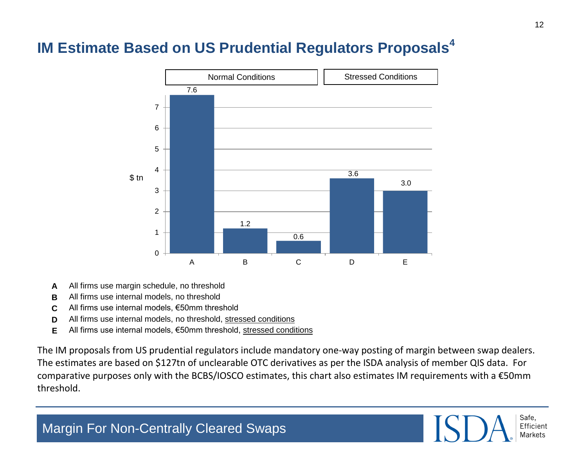### **IM Estimate Based on US Prudential Regulators Proposals<sup>4</sup>**



- **A** All firms use margin schedule, no threshold
- **B** All firms use internal models, no threshold
- **C** All firms use internal models, €50mm threshold
- **D** All firms use internal models, no threshold, stressed conditions
- **E** All firms use internal models, €50mm threshold, stressed conditions

The IM proposals from US prudential regulators include mandatory one-way posting of margin between swap dealers. The estimates are based on \$127tn of unclearable OTC derivatives as per the ISDA analysis of member QIS data. For comparative purposes only with the BCBS/IOSCO estimates, this chart also estimates IM requirements with a €50mm threshold.

$$
SSD\_ \text{Sate}
$$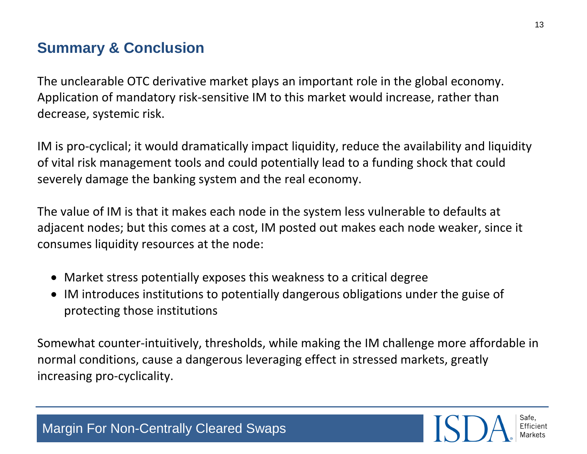# **Summary & Conclusion**

The unclearable OTC derivative market plays an important role in the global economy. Application of mandatory risk-sensitive IM to this market would increase, rather than decrease, systemic risk.

IM is pro-cyclical; it would dramatically impact liquidity, reduce the availability and liquidity of vital risk management tools and could potentially lead to a funding shock that could severely damage the banking system and the real economy.

The value of IM is that it makes each node in the system less vulnerable to defaults at adjacent nodes; but this comes at a cost, IM posted out makes each node weaker, since it consumes liquidity resources at the node:

- Market stress potentially exposes this weakness to a critical degree
- IM introduces institutions to potentially dangerous obligations under the guise of protecting those institutions

Somewhat counter-intuitively, thresholds, while making the IM challenge more affordable in normal conditions, cause a dangerous leveraging effect in stressed markets, greatly increasing pro-cyclicality.

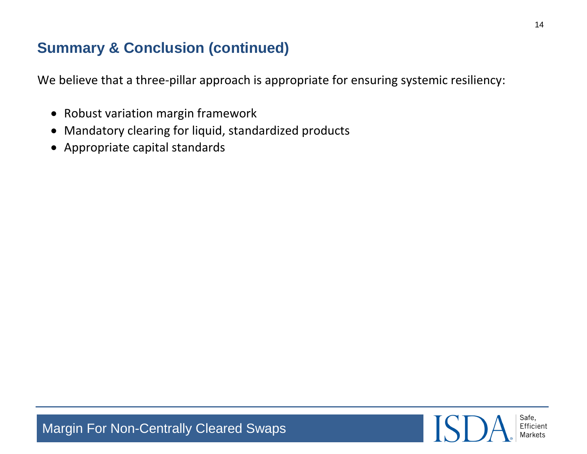## **Summary & Conclusion (continued)**

We believe that a three-pillar approach is appropriate for ensuring systemic resiliency:

- Robust variation margin framework
- Mandatory clearing for liquid, standardized products
- Appropriate capital standards

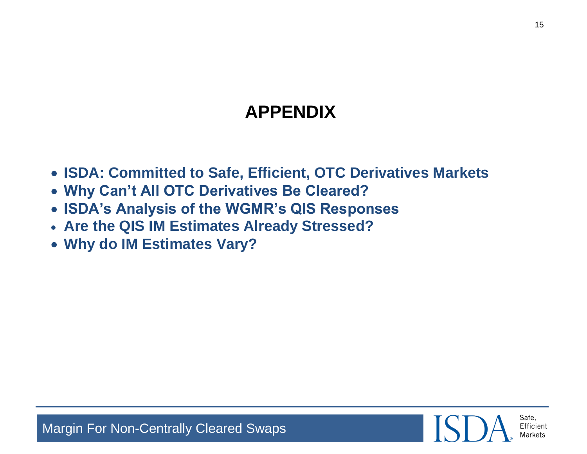# **APPENDIX**

- **ISDA: Committed to Safe, Efficient, OTC Derivatives Markets**
- **Why Can't All OTC Derivatives Be Cleared?**
- **ISDA's Analysis of the WGMR's QIS Responses**
- **Are the QIS IM Estimates Already Stressed?**
- **Why do IM Estimates Vary?**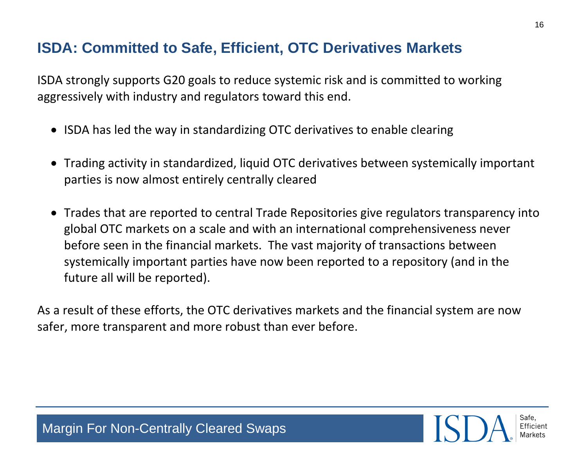#### **ISDA: Committed to Safe, Efficient, OTC Derivatives Markets**

ISDA strongly supports G20 goals to reduce systemic risk and is committed to working aggressively with industry and regulators toward this end.

- ISDA has led the way in standardizing OTC derivatives to enable clearing
- Trading activity in standardized, liquid OTC derivatives between systemically important parties is now almost entirely centrally cleared
- Trades that are reported to central Trade Repositories give regulators transparency into global OTC markets on a scale and with an international comprehensiveness never before seen in the financial markets. The vast majority of transactions between systemically important parties have now been reported to a repository (and in the future all will be reported).

As a result of these efforts, the OTC derivatives markets and the financial system are now safer, more transparent and more robust than ever before.

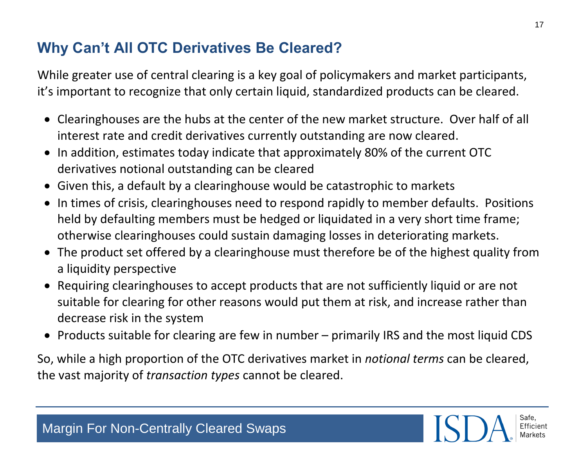## **Why Can't All OTC Derivatives Be Cleared?**

While greater use of central clearing is a key goal of policymakers and market participants, it's important to recognize that only certain liquid, standardized products can be cleared.

- Clearinghouses are the hubs at the center of the new market structure. Over half of all interest rate and credit derivatives currently outstanding are now cleared.
- In addition, estimates today indicate that approximately 80% of the current OTC derivatives notional outstanding can be cleared
- Given this, a default by a clearinghouse would be catastrophic to markets
- $\bullet$  In times of crisis, clearinghouses need to respond rapidly to member defaults. Positions held by defaulting members must be hedged or liquidated in a very short time frame; otherwise clearinghouses could sustain damaging losses in deteriorating markets.
- The product set offered by a clearinghouse must therefore be of the highest quality from a liquidity perspective
- Requiring clearinghouses to accept products that are not sufficiently liquid or are not suitable for clearing for other reasons would put them at risk, and increase rather than decrease risk in the system
- Products suitable for clearing are few in number primarily IRS and the most liquid CDS

So, while a high proportion of the OTC derivatives market in *notional terms* can be cleared, the vast majority of *transaction types* cannot be cleared.

Safe, Efficient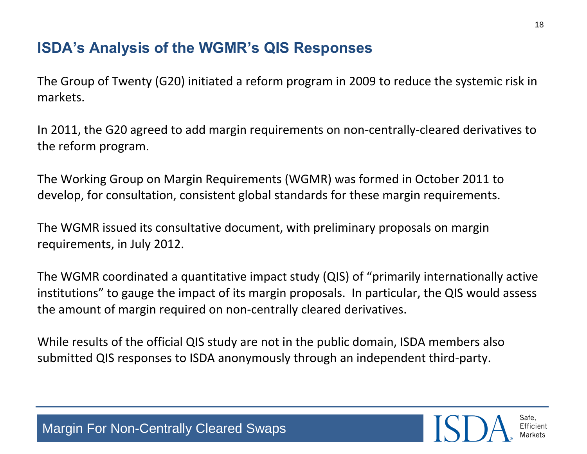## **ISDA's Analysis of the WGMR's QIS Responses**

The Group of Twenty (G20) initiated a reform program in 2009 to reduce the systemic risk in markets.

In 2011, the G20 agreed to add margin requirements on non-centrally-cleared derivatives to the reform program.

The Working Group on Margin Requirements (WGMR) was formed in October 2011 to develop, for consultation, consistent global standards for these margin requirements.

The WGMR issued its consultative document, with preliminary proposals on margin requirements, in July 2012.

The WGMR coordinated a quantitative impact study (QIS) of "primarily internationally active institutions" to gauge the impact of its margin proposals. In particular, the QIS would assess the amount of margin required on non-centrally cleared derivatives.

While results of the official QIS study are not in the public domain, ISDA members also submitted QIS responses to ISDA anonymously through an independent third-party.

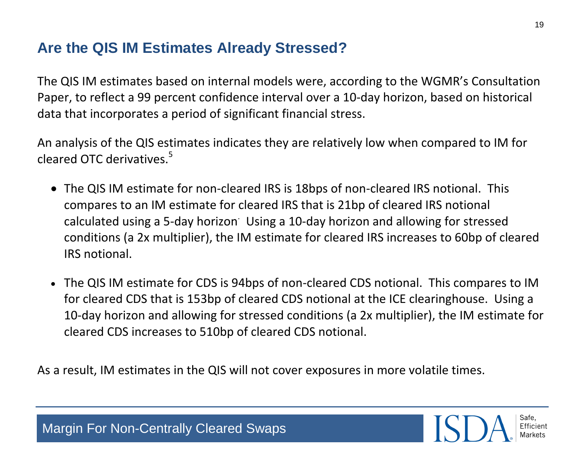#### **Are the QIS IM Estimates Already Stressed?**

The QIS IM estimates based on internal models were, according to the WGMR's Consultation Paper, to reflect a 99 percent confidence interval over a 10-day horizon, based on historical data that incorporates a period of significant financial stress.

An analysis of the QIS estimates indicates they are relatively low when compared to IM for cleared OTC derivatives. $5$ 

- The QIS IM estimate for non-cleared IRS is 18bps of non-cleared IRS notional. This compares to an IM estimate for cleared IRS that is 21bp of cleared IRS notional calculated using a 5-day horizon<sup>.</sup> Using a 10-day horizon and allowing for stressed conditions (a 2x multiplier), the IM estimate for cleared IRS increases to 60bp of cleared IRS notional.
- The QIS IM estimate for CDS is 94bps of non-cleared CDS notional. This compares to IM for cleared CDS that is 153bp of cleared CDS notional at the ICE clearinghouse. Using a 10-day horizon and allowing for stressed conditions (a 2x multiplier), the IM estimate for cleared CDS increases to 510bp of cleared CDS notional.

As a result, IM estimates in the QIS will not cover exposures in more volatile times.



19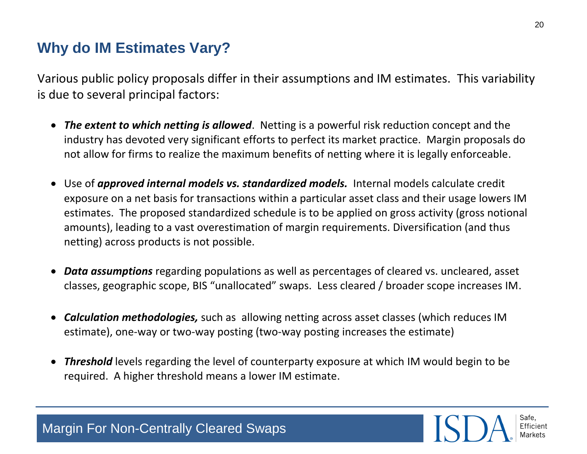#### **Why do IM Estimates Vary?**

Margin For Non-Centrally Cleared Swaps

Various public policy proposals differ in their assumptions and IM estimates. This variability is due to several principal factors:

- *The extent to which netting is allowed*. Netting is a powerful risk reduction concept and the industry has devoted very significant efforts to perfect its market practice. Margin proposals do not allow for firms to realize the maximum benefits of netting where it is legally enforceable.
- Use of *approved internal models vs. standardized models.* Internal models calculate credit exposure on a net basis for transactions within a particular asset class and their usage lowers IM estimates. The proposed standardized schedule is to be applied on gross activity (gross notional amounts), leading to a vast overestimation of margin requirements. Diversification (and thus netting) across products is not possible.
- *Data assumptions* regarding populations as well as percentages of cleared vs. uncleared, asset classes, geographic scope, BIS "unallocated" swaps. Less cleared / broader scope increases IM.
- *Calculation methodologies,* such as allowing netting across asset classes (which reduces IM estimate), one-way or two-way posting (two-way posting increases the estimate)
- *Threshold* levels regarding the level of counterparty exposure at which IM would begin to be required. A higher threshold means a lower IM estimate.